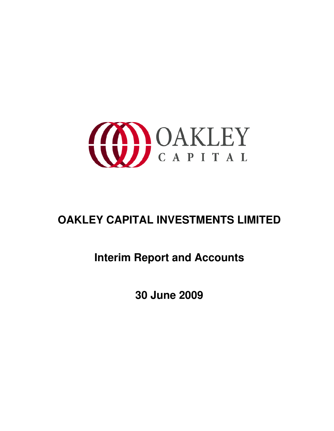

# **OAKLEY CAPITAL INVESTMENTS LIMITED**

# **Interim Report and Accounts**

**30 June 2009**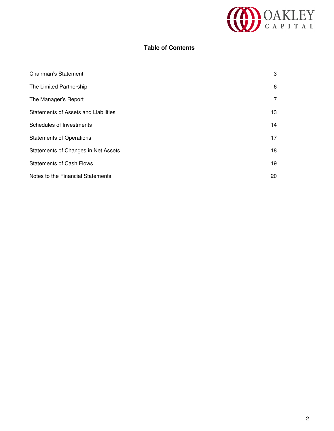

## **Table of Contents**

| Chairman's Statement                 | 3  |
|--------------------------------------|----|
| The Limited Partnership              | 6  |
| The Manager's Report                 | 7  |
| Statements of Assets and Liabilities | 13 |
| Schedules of Investments             | 14 |
| <b>Statements of Operations</b>      | 17 |
| Statements of Changes in Net Assets  | 18 |
| <b>Statements of Cash Flows</b>      | 19 |
| Notes to the Financial Statements    | 20 |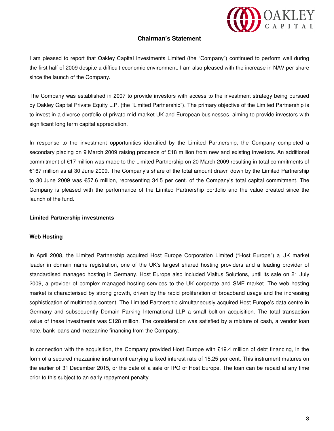

#### **Chairman's Statement**

I am pleased to report that Oakley Capital Investments Limited (the "Company") continued to perform well during the first half of 2009 despite a difficult economic environment. I am also pleased with the increase in NAV per share since the launch of the Company.

The Company was established in 2007 to provide investors with access to the investment strategy being pursued by Oakley Capital Private Equity L.P. (the "Limited Partnership"). The primary objective of the Limited Partnership is to invest in a diverse portfolio of private mid-market UK and European businesses, aiming to provide investors with significant long term capital appreciation.

In response to the investment opportunities identified by the Limited Partnership, the Company completed a secondary placing on 9 March 2009 raising proceeds of £18 million from new and existing investors. An additional commitment of €17 million was made to the Limited Partnership on 20 March 2009 resulting in total commitments of €167 million as at 30 June 2009. The Company's share of the total amount drawn down by the Limited Partnership to 30 June 2009 was €57.6 million, representing 34.5 per cent. of the Company's total capital commitment. The Company is pleased with the performance of the Limited Partnership portfolio and the value created since the launch of the fund.

#### **Limited Partnership investments**

#### **Web Hosting**

In April 2008, the Limited Partnership acquired Host Europe Corporation Limited ("Host Europe") a UK market leader in domain name registration, one of the UK's largest shared hosting providers and a leading provider of standardised managed hosting in Germany. Host Europe also included Vialtus Solutions, until its sale on 21 July 2009, a provider of complex managed hosting services to the UK corporate and SME market. The web hosting market is characterised by strong growth, driven by the rapid proliferation of broadband usage and the increasing sophistication of multimedia content. The Limited Partnership simultaneously acquired Host Europe's data centre in Germany and subsequently Domain Parking International LLP a small bolt-on acquisition. The total transaction value of these investments was £128 million. The consideration was satisfied by a mixture of cash, a vendor loan note, bank loans and mezzanine financing from the Company.

In connection with the acquisition, the Company provided Host Europe with £19.4 million of debt financing, in the form of a secured mezzanine instrument carrying a fixed interest rate of 15.25 per cent. This instrument matures on the earlier of 31 December 2015, or the date of a sale or IPO of Host Europe. The loan can be repaid at any time prior to this subject to an early repayment penalty.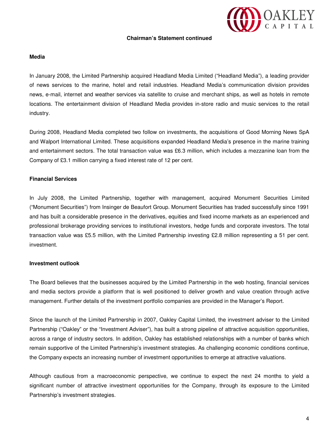# OAKLEY

#### **Chairman's Statement continued**

#### **Media**

In January 2008, the Limited Partnership acquired Headland Media Limited ("Headland Media"), a leading provider of news services to the marine, hotel and retail industries. Headland Media's communication division provides news, e-mail, internet and weather services via satellite to cruise and merchant ships, as well as hotels in remote locations. The entertainment division of Headland Media provides in-store radio and music services to the retail industry.

During 2008, Headland Media completed two follow on investments, the acquisitions of Good Morning News SpA and Walport International Limited. These acquisitions expanded Headland Media's presence in the marine training and entertainment sectors. The total transaction value was £6.3 million, which includes a mezzanine loan from the Company of £3.1 million carrying a fixed interest rate of 12 per cent.

#### **Financial Services**

In July 2008, the Limited Partnership, together with management, acquired Monument Securities Limited ("Monument Securities") from Insinger de Beaufort Group. Monument Securities has traded successfully since 1991 and has built a considerable presence in the derivatives, equities and fixed income markets as an experienced and professional brokerage providing services to institutional investors, hedge funds and corporate investors. The total transaction value was £5.5 million, with the Limited Partnership investing £2.8 million representing a 51 per cent. investment.

#### **Investment outlook**

The Board believes that the businesses acquired by the Limited Partnership in the web hosting, financial services and media sectors provide a platform that is well positioned to deliver growth and value creation through active management. Further details of the investment portfolio companies are provided in the Manager's Report.

Since the launch of the Limited Partnership in 2007, Oakley Capital Limited, the investment adviser to the Limited Partnership ("Oakley" or the "Investment Adviser"), has built a strong pipeline of attractive acquisition opportunities, across a range of industry sectors. In addition, Oakley has established relationships with a number of banks which remain supportive of the Limited Partnership's investment strategies. As challenging economic conditions continue, the Company expects an increasing number of investment opportunities to emerge at attractive valuations.

Although cautious from a macroeconomic perspective, we continue to expect the next 24 months to yield a significant number of attractive investment opportunities for the Company, through its exposure to the Limited Partnership's investment strategies.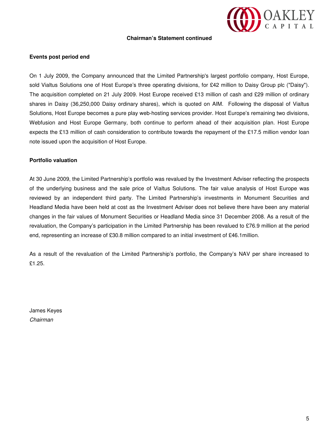# OAKLEY

#### **Chairman's Statement continued**

#### **Events post period end**

On 1 July 2009, the Company announced that the Limited Partnership's largest portfolio company, Host Europe, sold Vialtus Solutions one of Host Europe's three operating divisions, for £42 million to Daisy Group plc ("Daisy"). The acquisition completed on 21 July 2009. Host Europe received £13 million of cash and £29 million of ordinary shares in Daisy (36,250,000 Daisy ordinary shares), which is quoted on AIM. Following the disposal of Vialtus Solutions, Host Europe becomes a pure play web-hosting services provider. Host Europe's remaining two divisions, Webfusion and Host Europe Germany, both continue to perform ahead of their acquisition plan. Host Europe expects the £13 million of cash consideration to contribute towards the repayment of the £17.5 million vendor loan note issued upon the acquisition of Host Europe.

#### **Portfolio valuation**

At 30 June 2009, the Limited Partnership's portfolio was revalued by the Investment Adviser reflecting the prospects of the underlying business and the sale price of Vialtus Solutions. The fair value analysis of Host Europe was reviewed by an independent third party. The Limited Partnership's investments in Monument Securities and Headland Media have been held at cost as the Investment Adviser does not believe there have been any material changes in the fair values of Monument Securities or Headland Media since 31 December 2008. As a result of the revaluation, the Company's participation in the Limited Partnership has been revalued to £76.9 million at the period end, representing an increase of £30.8 million compared to an initial investment of £46.1million.

As a result of the revaluation of the Limited Partnership's portfolio, the Company's NAV per share increased to £1.25.

James Keyes Chairman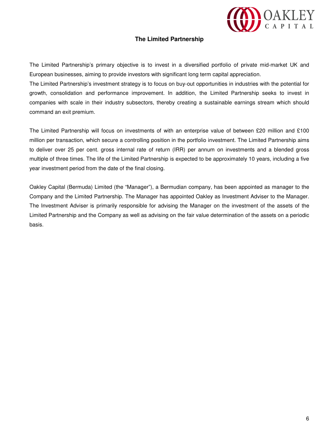

#### **The Limited Partnership**

The Limited Partnership's primary objective is to invest in a diversified portfolio of private mid-market UK and European businesses, aiming to provide investors with significant long term capital appreciation.

The Limited Partnership's investment strategy is to focus on buy-out opportunities in industries with the potential for growth, consolidation and performance improvement. In addition, the Limited Partnership seeks to invest in companies with scale in their industry subsectors, thereby creating a sustainable earnings stream which should command an exit premium.

The Limited Partnership will focus on investments of with an enterprise value of between £20 million and £100 million per transaction, which secure a controlling position in the portfolio investment. The Limited Partnership aims to deliver over 25 per cent. gross internal rate of return (IRR) per annum on investments and a blended gross multiple of three times. The life of the Limited Partnership is expected to be approximately 10 years, including a five year investment period from the date of the final closing.

Oakley Capital (Bermuda) Limited (the "Manager"), a Bermudian company, has been appointed as manager to the Company and the Limited Partnership. The Manager has appointed Oakley as Investment Adviser to the Manager. The Investment Adviser is primarily responsible for advising the Manager on the investment of the assets of the Limited Partnership and the Company as well as advising on the fair value determination of the assets on a periodic basis.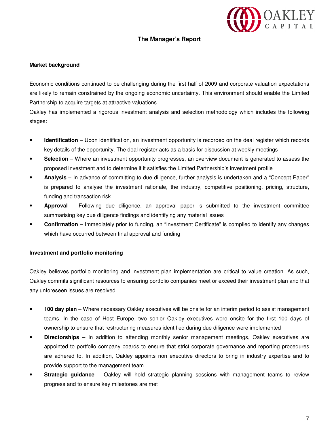# OAKLEY

#### **The Manager's Report**

#### **Market background**

Economic conditions continued to be challenging during the first half of 2009 and corporate valuation expectations are likely to remain constrained by the ongoing economic uncertainty. This environment should enable the Limited Partnership to acquire targets at attractive valuations.

Oakley has implemented a rigorous investment analysis and selection methodology which includes the following stages:

- **Identification** Upon identification, an investment opportunity is recorded on the deal register which records key details of the opportunity. The deal register acts as a basis for discussion at weekly meetings
- **Selection** Where an investment opportunity progresses, an overview document is generated to assess the proposed investment and to determine if it satisfies the Limited Partnership's investment profile
- **Analysis** In advance of committing to due diligence, further analysis is undertaken and a "Concept Paper" is prepared to analyse the investment rationale, the industry, competitive positioning, pricing, structure, funding and transaction risk
- **Approval** Following due diligence, an approval paper is submitted to the investment committee summarising key due diligence findings and identifying any material issues
- **Confirmation** Immediately prior to funding, an "Investment Certificate" is compiled to identify any changes which have occurred between final approval and funding

#### **Investment and portfolio monitoring**

Oakley believes portfolio monitoring and investment plan implementation are critical to value creation. As such, Oakley commits significant resources to ensuring portfolio companies meet or exceed their investment plan and that any unforeseen issues are resolved.

- **100 day plan** Where necessary Oakley executives will be onsite for an interim period to assist management teams. In the case of Host Europe, two senior Oakley executives were onsite for the first 100 days of ownership to ensure that restructuring measures identified during due diligence were implemented
- **Directorships** In addition to attending monthly senior management meetings, Oakley executives are appointed to portfolio company boards to ensure that strict corporate governance and reporting procedures are adhered to. In addition, Oakley appoints non executive directors to bring in industry expertise and to provide support to the management team
- **Strategic guidance** Oakley will hold strategic planning sessions with management teams to review progress and to ensure key milestones are met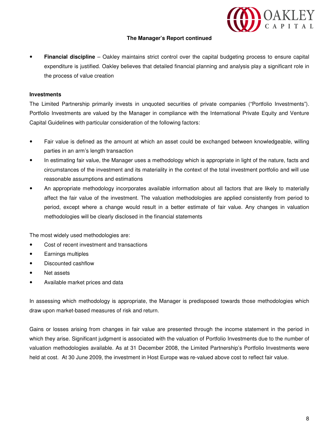

 **Financial discipline** – Oakley maintains strict control over the capital budgeting process to ensure capital expenditure is justified. Oakley believes that detailed financial planning and analysis play a significant role in the process of value creation

#### **Investments**

The Limited Partnership primarily invests in unquoted securities of private companies ("Portfolio Investments"). Portfolio Investments are valued by the Manager in compliance with the International Private Equity and Venture Capital Guidelines with particular consideration of the following factors:

- Fair value is defined as the amount at which an asset could be exchanged between knowledgeable, willing parties in an arm's length transaction
- In estimating fair value, the Manager uses a methodology which is appropriate in light of the nature, facts and circumstances of the investment and its materiality in the context of the total investment portfolio and will use reasonable assumptions and estimations
- An appropriate methodology incorporates available information about all factors that are likely to materially affect the fair value of the investment. The valuation methodologies are applied consistently from period to period, except where a change would result in a better estimate of fair value. Any changes in valuation methodologies will be clearly disclosed in the financial statements

The most widely used methodologies are:

- Cost of recent investment and transactions
- Earnings multiples
- Discounted cashflow
- Net assets
- Available market prices and data

In assessing which methodology is appropriate, the Manager is predisposed towards those methodologies which draw upon market-based measures of risk and return.

Gains or losses arising from changes in fair value are presented through the income statement in the period in which they arise. Significant judgment is associated with the valuation of Portfolio Investments due to the number of valuation methodologies available. As at 31 December 2008, the Limited Partnership's Portfolio Investments were held at cost. At 30 June 2009, the investment in Host Europe was re-valued above cost to reflect fair value.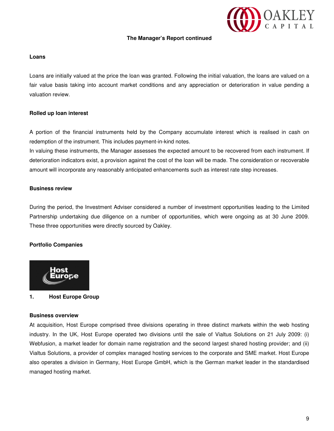# OAKLEY

#### **The Manager's Report continued**

#### **Loans**

Loans are initially valued at the price the loan was granted. Following the initial valuation, the loans are valued on a fair value basis taking into account market conditions and any appreciation or deterioration in value pending a valuation review.

#### **Rolled up loan interest**

A portion of the financial instruments held by the Company accumulate interest which is realised in cash on redemption of the instrument. This includes payment-in-kind notes.

In valuing these instruments, the Manager assesses the expected amount to be recovered from each instrument. If deterioration indicators exist, a provision against the cost of the loan will be made. The consideration or recoverable amount will incorporate any reasonably anticipated enhancements such as interest rate step increases.

#### **Business review**

During the period, the Investment Adviser considered a number of investment opportunities leading to the Limited Partnership undertaking due diligence on a number of opportunities, which were ongoing as at 30 June 2009. These three opportunities were directly sourced by Oakley.

### **Portfolio Companies**



#### **1. Host Europe Group**

#### **Business overview**

At acquisition, Host Europe comprised three divisions operating in three distinct markets within the web hosting industry. In the UK, Host Europe operated two divisions until the sale of Vialtus Solutions on 21 July 2009: (i) Webfusion, a market leader for domain name registration and the second largest shared hosting provider; and (ii) Vialtus Solutions, a provider of complex managed hosting services to the corporate and SME market. Host Europe also operates a division in Germany, Host Europe GmbH, which is the German market leader in the standardised managed hosting market.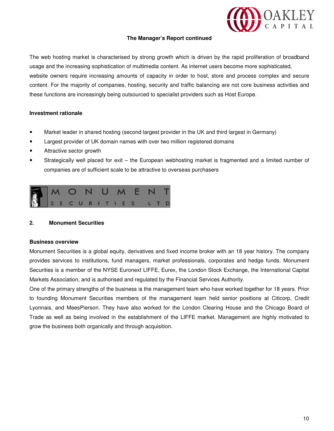

The web hosting market is characterised by strong growth which is driven by the rapid proliferation of broadband usage and the increasing sophistication of multimedia content. As internet users become more sophisticated, website owners require increasing amounts of capacity in order to host, store and process complex and secure content. For the majority of companies, hosting, security and traffic balancing are not core business activities and these functions are increasingly being outsourced to specialist providers such as Host Europe.

#### **Investment rationale**

- Market leader in shared hosting (second largest provider in the UK and third largest in Germany)
- Largest provider of UK domain names with over two million registered domains
- Attractive sector growth
- Strategically well placed for exit the European webhosting market is fragmented and a limited number of companies are of sufficient scale to be attractive to overseas purchasers



#### **2. Monument Securities**

#### **Business overview**

Monument Securities is a global equity, derivatives and fixed income broker with an 18 year history. The company provides services to institutions, fund managers, market professionals, corporates and hedge funds. Monument Securities is a member of the NYSE Euronext LIFFE, Eurex, the London Stock Exchange, the International Capital Markets Association, and is authorised and regulated by the Financial Services Authority.

One of the primary strengths of the business is the management team who have worked together for 18 years. Prior to founding Monument Securities members of the management team held senior positions at Citicorp, Credit Lyonnais, and MeesPierson. They have also worked for the London Clearing House and the Chicago Board of Trade as well as being involved in the establishment of the LIFFE market. Management are highly motivated to grow the business both organically and through acquisition.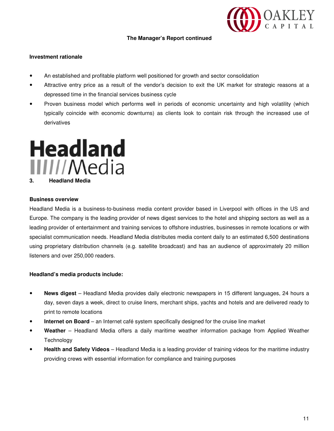

#### **Investment rationale**

- An established and profitable platform well positioned for growth and sector consolidation
- Attractive entry price as a result of the vendor's decision to exit the UK market for strategic reasons at a depressed time in the financial services business cycle
- Proven business model which performs well in periods of economic uncertainty and high volatility (which typically coincide with economic downturns) as clients look to contain risk through the increased use of derivatives

# **Headland** III//Media **3. Headland Media**

#### **Business overview**

Headland Media is a business-to-business media content provider based in Liverpool with offices in the US and Europe. The company is the leading provider of news digest services to the hotel and shipping sectors as well as a leading provider of entertainment and training services to offshore industries, businesses in remote locations or with specialist communication needs. Headland Media distributes media content daily to an estimated 6,500 destinations using proprietary distribution channels (e.g. satellite broadcast) and has an audience of approximately 20 million listeners and over 250,000 readers.

#### **Headland's media products include:**

- **News digest** Headland Media provides daily electronic newspapers in 15 different languages, 24 hours a day, seven days a week, direct to cruise liners, merchant ships, yachts and hotels and are delivered ready to print to remote locations
- **Internet on Board** an Internet café system specifically designed for the cruise line market
- **Weather** Headland Media offers a daily maritime weather information package from Applied Weather **Technology**
- **Health and Safety Videos** Headland Media is a leading provider of training videos for the maritime industry providing crews with essential information for compliance and training purposes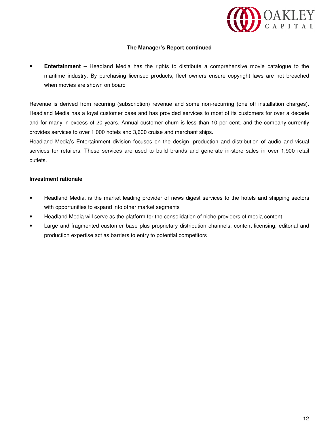

 **Entertainment** – Headland Media has the rights to distribute a comprehensive movie catalogue to the maritime industry. By purchasing licensed products, fleet owners ensure copyright laws are not breached when movies are shown on board

Revenue is derived from recurring (subscription) revenue and some non-recurring (one off installation charges). Headland Media has a loyal customer base and has provided services to most of its customers for over a decade and for many in excess of 20 years. Annual customer churn is less than 10 per cent. and the company currently provides services to over 1,000 hotels and 3,600 cruise and merchant ships.

Headland Media's Entertainment division focuses on the design, production and distribution of audio and visual services for retailers. These services are used to build brands and generate in-store sales in over 1,900 retail outlets.

#### **Investment rationale**

- Headland Media, is the market leading provider of news digest services to the hotels and shipping sectors with opportunities to expand into other market segments
- Headland Media will serve as the platform for the consolidation of niche providers of media content
- Large and fragmented customer base plus proprietary distribution channels, content licensing, editorial and production expertise act as barriers to entry to potential competitors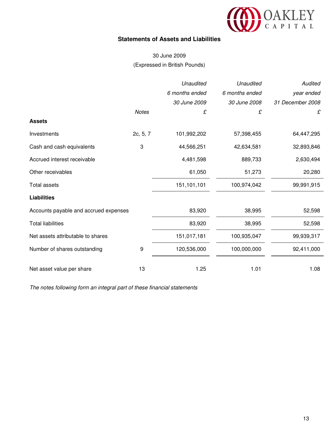

### **Statements of Assets and Liabilities**

## 30 June 2009 (Expressed in British Pounds)

|                                       |              | Unaudited      | Unaudited      | Audited          |
|---------------------------------------|--------------|----------------|----------------|------------------|
|                                       |              | 6 months ended | 6 months ended | year ended       |
|                                       |              | 30 June 2009   | 30 June 2008   | 31 December 2008 |
|                                       | <b>Notes</b> | £              | £              | £                |
| <b>Assets</b>                         |              |                |                |                  |
| Investments                           | 2c, 5, 7     | 101,992,202    | 57,398,455     | 64,447,295       |
| Cash and cash equivalents             | 3            | 44,566,251     | 42,634,581     | 32,893,846       |
| Accrued interest receivable           |              | 4,481,598      | 889,733        | 2,630,494        |
| Other receivables                     |              | 61,050         | 51,273         | 20,280           |
| <b>Total assets</b>                   |              | 151,101,101    | 100,974,042    | 99,991,915       |
| <b>Liabilities</b>                    |              |                |                |                  |
| Accounts payable and accrued expenses |              | 83,920         | 38,995         | 52,598           |
| <b>Total liabilities</b>              |              | 83,920         | 38,995         | 52,598           |
| Net assets attributable to shares     |              | 151,017,181    | 100,935,047    | 99,939,317       |
| Number of shares outstanding          | 9            | 120,536,000    | 100,000,000    | 92,411,000       |
| Net asset value per share             | 13           | 1.25           | 1.01           | 1.08             |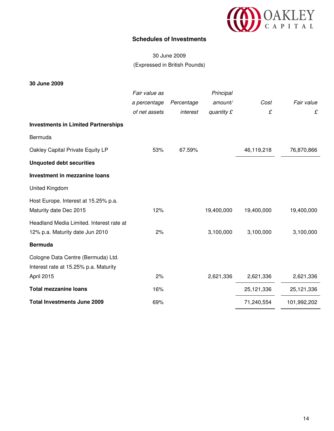

### **Schedules of Investments**

# 30 June 2009 (Expressed in British Pounds)

**30 June 2009** 

|                                            | Fair value as |            | Principal  |            |             |
|--------------------------------------------|---------------|------------|------------|------------|-------------|
|                                            | a percentage  | Percentage | amount/    | Cost       | Fair value  |
|                                            | of net assets | interest   | quantity £ | £          | £           |
| <b>Investments in Limited Partnerships</b> |               |            |            |            |             |
| Bermuda                                    |               |            |            |            |             |
| Oakley Capital Private Equity LP           | 53%           | 67.59%     |            | 46,119,218 | 76,870,866  |
| <b>Unquoted debt securities</b>            |               |            |            |            |             |
| Investment in mezzanine loans              |               |            |            |            |             |
| United Kingdom                             |               |            |            |            |             |
| Host Europe. Interest at 15.25% p.a.       |               |            |            |            |             |
| Maturity date Dec 2015                     | 12%           |            | 19,400,000 | 19,400,000 | 19,400,000  |
| Headland Media Limited. Interest rate at   |               |            |            |            |             |
| 12% p.a. Maturity date Jun 2010            | 2%            |            | 3,100,000  | 3,100,000  | 3,100,000   |
| <b>Bermuda</b>                             |               |            |            |            |             |
| Cologne Data Centre (Bermuda) Ltd.         |               |            |            |            |             |
| Interest rate at 15.25% p.a. Maturity      |               |            |            |            |             |
| April 2015                                 | 2%            |            | 2,621,336  | 2,621,336  | 2,621,336   |
| <b>Total mezzanine loans</b>               | 16%           |            |            | 25,121,336 | 25,121,336  |
| <b>Total Investments June 2009</b>         | 69%           |            |            | 71,240,554 | 101,992,202 |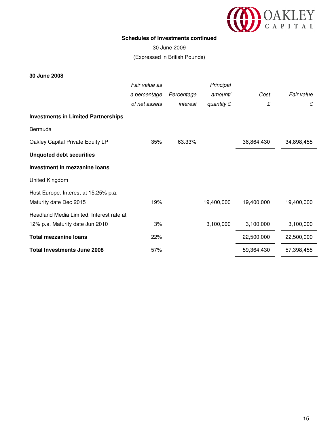

#### **Schedules of Investments continued**

30 June 2009 (Expressed in British Pounds)

#### **30 June 2008**

|                                            | Fair value as |            | Principal  |            |            |
|--------------------------------------------|---------------|------------|------------|------------|------------|
|                                            | a percentage  | Percentage | amount/    | Cost       | Fair value |
|                                            | of net assets | interest   | quantity £ | £          | £          |
| <b>Investments in Limited Partnerships</b> |               |            |            |            |            |
| Bermuda                                    |               |            |            |            |            |
| Oakley Capital Private Equity LP           | 35%           | 63.33%     |            | 36,864,430 | 34,898,455 |
| <b>Unquoted debt securities</b>            |               |            |            |            |            |
| Investment in mezzanine loans              |               |            |            |            |            |
| United Kingdom                             |               |            |            |            |            |
| Host Europe. Interest at 15.25% p.a.       |               |            |            |            |            |
| Maturity date Dec 2015                     | 19%           |            | 19,400,000 | 19,400,000 | 19,400,000 |
| Headland Media Limited. Interest rate at   |               |            |            |            |            |
| 12% p.a. Maturity date Jun 2010            | 3%            |            | 3,100,000  | 3,100,000  | 3,100,000  |
| <b>Total mezzanine loans</b>               | 22%           |            |            | 22,500,000 | 22,500,000 |
| <b>Total Investments June 2008</b>         | 57%           |            |            | 59,364,430 | 57,398,455 |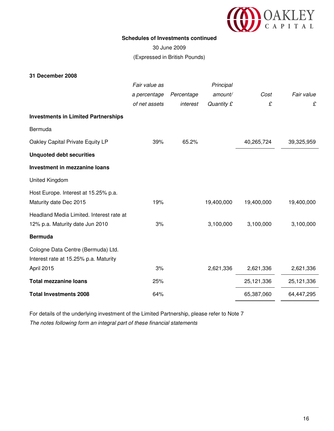

#### **Schedules of Investments continued**

30 June 2009 (Expressed in British Pounds)

#### **31 December 2008**

|                                            | Fair value as |            | Principal  |            |            |
|--------------------------------------------|---------------|------------|------------|------------|------------|
|                                            | a percentage  | Percentage | amount/    | Cost       | Fair value |
|                                            | of net assets | interest   | Quantity £ | £          | £          |
| <b>Investments in Limited Partnerships</b> |               |            |            |            |            |
| Bermuda                                    |               |            |            |            |            |
| Oakley Capital Private Equity LP           | 39%           | 65.2%      |            | 40,265,724 | 39,325,959 |
| <b>Unquoted debt securities</b>            |               |            |            |            |            |
| Investment in mezzanine loans              |               |            |            |            |            |
| United Kingdom                             |               |            |            |            |            |
| Host Europe. Interest at 15.25% p.a.       |               |            |            |            |            |
| Maturity date Dec 2015                     | 19%           |            | 19,400,000 | 19,400,000 | 19,400,000 |
| Headland Media Limited. Interest rate at   |               |            |            |            |            |
| 12% p.a. Maturity date Jun 2010            | 3%            |            | 3,100,000  | 3,100,000  | 3,100,000  |
| <b>Bermuda</b>                             |               |            |            |            |            |
| Cologne Data Centre (Bermuda) Ltd.         |               |            |            |            |            |
| Interest rate at 15.25% p.a. Maturity      |               |            |            |            |            |
| April 2015                                 | 3%            |            | 2,621,336  | 2,621,336  | 2,621,336  |
| <b>Total mezzanine loans</b>               | 25%           |            |            | 25,121,336 | 25,121,336 |
| <b>Total Investments 2008</b>              | 64%           |            |            | 65,387,060 | 64,447,295 |

For details of the underlying investment of the Limited Partnership, please refer to Note 7 The notes following form an integral part of these financial statements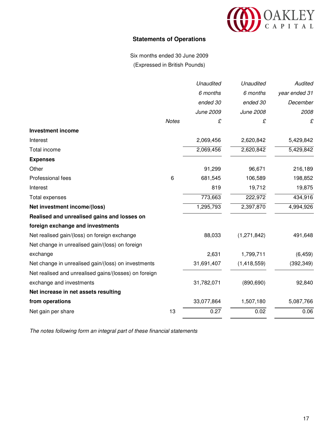

## **Statements of Operations**

Six months ended 30 June 2009 (Expressed in British Pounds)

|                                                       |              | Unaudited  | <b>Unaudited</b> | Audited       |
|-------------------------------------------------------|--------------|------------|------------------|---------------|
|                                                       |              | 6 months   | 6 months         | year ended 31 |
|                                                       |              | ended 30   | ended 30         | December      |
|                                                       |              | June 2009  | June 2008        | 2008          |
|                                                       | <b>Notes</b> | £          | £                | £             |
| <b>Investment income</b>                              |              |            |                  |               |
| Interest                                              |              | 2,069,456  | 2,620,842        | 5,429,842     |
| Total income                                          |              | 2,069,456  | 2,620,842        | 5,429,842     |
| <b>Expenses</b>                                       |              |            |                  |               |
| Other                                                 |              | 91,299     | 96,671           | 216,189       |
| Professional fees                                     | 6            | 681,545    | 106,589          | 198,852       |
| Interest                                              |              | 819        | 19,712           | 19,875        |
| Total expenses                                        |              | 773,663    | 222,972          | 434,916       |
| Net investment income/(loss)                          |              | 1,295,793  | 2,397,870        | 4,994,926     |
| Realised and unrealised gains and losses on           |              |            |                  |               |
| foreign exchange and investments                      |              |            |                  |               |
| Net realised gain/(loss) on foreign exchange          |              | 88,033     | (1, 271, 842)    | 491,648       |
| Net change in unrealised gain/(loss) on foreign       |              |            |                  |               |
| exchange                                              |              | 2,631      | 1,799,711        | (6, 459)      |
| Net change in unrealised gain/(loss) on investments   |              | 31,691,407 | (1,418,559)      | (392, 349)    |
| Net realised and unrealised gains/(losses) on foreign |              |            |                  |               |
| exchange and investments                              |              | 31,782,071 | (890, 690)       | 92,840        |
| Net increase in net assets resulting                  |              |            |                  |               |
| from operations                                       |              | 33,077,864 | 1,507,180        | 5,087,766     |
| Net gain per share                                    | 13           | 0.27       | 0.02             | 0.06          |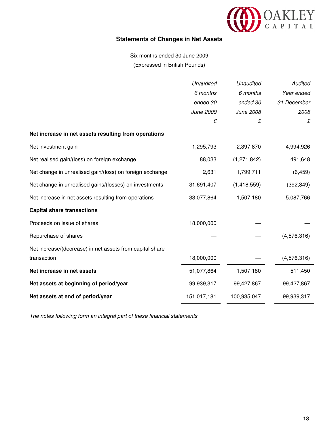

## **Statements of Changes in Net Assets**

Six months ended 30 June 2009 (Expressed in British Pounds)

|                                                          | Unaudited   | <b>Unaudited</b> | Audited     |
|----------------------------------------------------------|-------------|------------------|-------------|
|                                                          | 6 months    | 6 months         | Year ended  |
|                                                          | ended 30    | ended 30         | 31 December |
|                                                          | June 2009   | June 2008        | 2008        |
|                                                          | £           | £                | £           |
| Net increase in net assets resulting from operations     |             |                  |             |
| Net investment gain                                      | 1,295,793   | 2,397,870        | 4,994,926   |
| Net realised gain/(loss) on foreign exchange             | 88,033      | (1,271,842)      | 491,648     |
| Net change in unrealised gain/(loss) on foreign exchange | 2,631       | 1,799,711        | (6, 459)    |
| Net change in unrealised gains/(losses) on investments   | 31,691,407  | (1,418,559)      | (392, 349)  |
| Net increase in net assets resulting from operations     | 33,077,864  | 1,507,180        | 5,087,766   |
| <b>Capital share transactions</b>                        |             |                  |             |
| Proceeds on issue of shares                              | 18,000,000  |                  |             |
| Repurchase of shares                                     |             |                  | (4,576,316) |
| Net increase/(decrease) in net assets from capital share |             |                  |             |
| transaction                                              | 18,000,000  |                  | (4,576,316) |
| Net increase in net assets                               | 51,077,864  | 1,507,180        | 511,450     |
| Net assets at beginning of period/year                   | 99,939,317  | 99,427,867       | 99,427,867  |
| Net assets at end of period/year                         | 151,017,181 | 100,935,047      | 99,939,317  |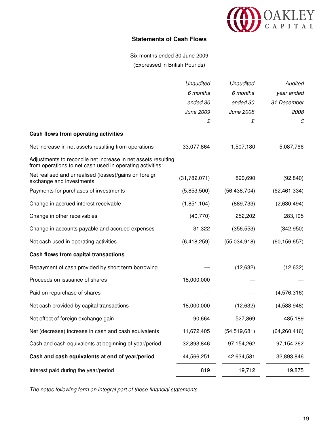

### **Statements of Cash Flows**

Six months ended 30 June 2009 (Expressed in British Pounds)

|                                                                                                                            | <b>Unaudited</b> | Unaudited      | Audited        |
|----------------------------------------------------------------------------------------------------------------------------|------------------|----------------|----------------|
|                                                                                                                            | 6 months         | 6 months       | year ended     |
|                                                                                                                            | ended 30         | ended 30       | 31 December    |
|                                                                                                                            | June 2009        | June 2008      | 2008           |
|                                                                                                                            | £                | £              | £              |
| Cash flows from operating activities                                                                                       |                  |                |                |
| Net increase in net assets resulting from operations                                                                       | 33,077,864       | 1,507,180      | 5,087,766      |
| Adjustments to reconcile net increase in net assets resulting<br>from operations to net cash used in operating activities: |                  |                |                |
| Net realised and unrealised (losses)/gains on foreign<br>exchange and investments                                          | (31, 782, 071)   | 890,690        | (92, 840)      |
| Payments for purchases of investments                                                                                      | (5,853,500)      | (56, 438, 704) | (62, 461, 334) |
| Change in accrued interest receivable                                                                                      | (1,851,104)      | (889, 733)     | (2,630,494)    |
| Change in other receivables                                                                                                | (40, 770)        | 252,202        | 283,195        |
| Change in accounts payable and accrued expenses                                                                            | 31,322           | (356, 553)     | (342,950)      |
| Net cash used in operating activities                                                                                      | (6,418,259)      | (55,034,918)   | (60, 156, 657) |
| Cash flows from capital transactions                                                                                       |                  |                |                |
| Repayment of cash provided by short term borrowing                                                                         |                  | (12, 632)      | (12, 632)      |
| Proceeds on issuance of shares                                                                                             | 18,000,000       |                |                |
| Paid on repurchase of shares                                                                                               |                  |                | (4,576,316)    |
| Net cash provided by capital transactions                                                                                  | 18,000,000       | (12, 632)      | (4,588,948)    |
| Net effect of foreign exchange gain                                                                                        | 90,664           | 527,869        | 485,189        |
| Net (decrease) increase in cash and cash equivalents                                                                       | 11,672,405       | (54, 519, 681) | (64, 260, 416) |
| Cash and cash equivalents at beginning of year/period                                                                      | 32,893,846       | 97,154,262     | 97,154,262     |
| Cash and cash equivalents at end of year/period                                                                            | 44,566,251       | 42,634,581     | 32,893,846     |
| Interest paid during the year/period                                                                                       | 819              | 19,712         | 19,875         |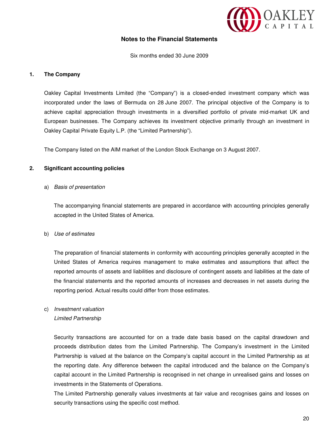

### **Notes to the Financial Statements**

Six months ended 30 June 2009

#### **1. The Company**

Oakley Capital Investments Limited (the "Company") is a closed-ended investment company which was incorporated under the laws of Bermuda on 28 June 2007. The principal objective of the Company is to achieve capital appreciation through investments in a diversified portfolio of private mid-market UK and European businesses. The Company achieves its investment objective primarily through an investment in Oakley Capital Private Equity L.P. (the "Limited Partnership").

The Company listed on the AIM market of the London Stock Exchange on 3 August 2007.

#### **2. Significant accounting policies**

#### a) Basis of presentation

The accompanying financial statements are prepared in accordance with accounting principles generally accepted in the United States of America.

#### b) Use of estimates

 The preparation of financial statements in conformity with accounting principles generally accepted in the United States of America requires management to make estimates and assumptions that affect the reported amounts of assets and liabilities and disclosure of contingent assets and liabilities at the date of the financial statements and the reported amounts of increases and decreases in net assets during the reporting period. Actual results could differ from those estimates.

# c) Investment valuation

#### Limited Partnership

Security transactions are accounted for on a trade date basis based on the capital drawdown and proceeds distribution dates from the Limited Partnership. The Company's investment in the Limited Partnership is valued at the balance on the Company's capital account in the Limited Partnership as at the reporting date. Any difference between the capital introduced and the balance on the Company's capital account in the Limited Partnership is recognised in net change in unrealised gains and losses on investments in the Statements of Operations.

The Limited Partnership generally values investments at fair value and recognises gains and losses on security transactions using the specific cost method.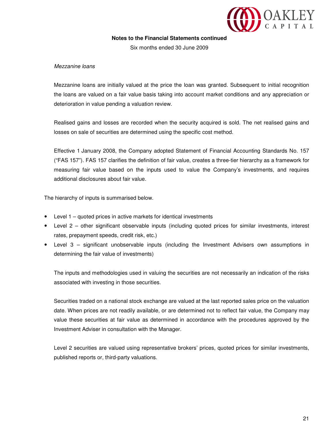

Six months ended 30 June 2009

#### Mezzanine loans

Mezzanine loans are initially valued at the price the loan was granted. Subsequent to initial recognition the loans are valued on a fair value basis taking into account market conditions and any appreciation or deterioration in value pending a valuation review.

Realised gains and losses are recorded when the security acquired is sold. The net realised gains and losses on sale of securities are determined using the specific cost method.

Effective 1 January 2008, the Company adopted Statement of Financial Accounting Standards No. 157 ("FAS 157"). FAS 157 clarifies the definition of fair value, creates a three-tier hierarchy as a framework for measuring fair value based on the inputs used to value the Company's investments, and requires additional disclosures about fair value.

The hierarchy of inputs is summarised below.

- Level 1 quoted prices in active markets for identical investments
- Level 2 other significant observable inputs (including quoted prices for similar investments, interest rates, prepayment speeds, credit risk, etc.)
- Level 3 significant unobservable inputs (including the Investment Advisers own assumptions in determining the fair value of investments)

 The inputs and methodologies used in valuing the securities are not necessarily an indication of the risks associated with investing in those securities.

 Securities traded on a national stock exchange are valued at the last reported sales price on the valuation date. When prices are not readily available, or are determined not to reflect fair value, the Company may value these securities at fair value as determined in accordance with the procedures approved by the Investment Adviser in consultation with the Manager.

 Level 2 securities are valued using representative brokers' prices, quoted prices for similar investments, published reports or, third-party valuations.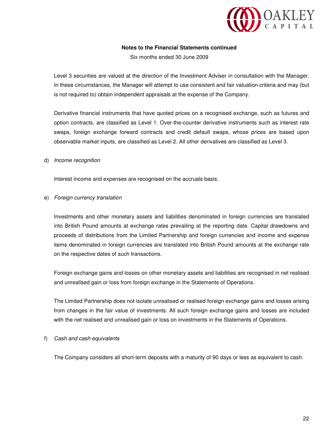

Six months ended 30 June 2009

Level 3 securities are valued at the direction of the Investment Adviser in consultation with the Manager. In these circumstances, the Manager will attempt to use consistent and fair valuation criteria and may (but is not required to) obtain independent appraisals at the expense of the Company.

Derivative financial instruments that have quoted prices on a recognised exchange, such as futures and option contracts, are classified as Level 1. Over-the-counter derivative instruments such as interest rate swaps, foreign exchange forward contracts and credit default swaps, whose prices are based upon observable market inputs, are classified as Level 2. All other derivatives are classified as Level 3.

#### d) Income recognition

Interest income and expenses are recognised on the accruals basis.

#### e) Foreign currency translation

Investments and other monetary assets and liabilities denominated in foreign currencies are translated into British Pound amounts at exchange rates prevailing at the reporting date. Capital drawdowns and proceeds of distributions from the Limited Partnership and foreign currencies and income and expense items denominated in foreign currencies are translated into British Pound amounts at the exchange rate on the respective dates of such transactions.

Foreign exchange gains and losses on other monetary assets and liabilities are recognised in net realised and unrealised gain or loss from foreign exchange in the Statements of Operations.

The Limited Partnership does not isolate unrealised or realised foreign exchange gains and losses arising from changes in the fair value of investments. All such foreign exchange gains and losses are included with the net realised and unrealised gain or loss on investments in the Statements of Operations.

#### f) Cash and cash equivalents

The Company considers all short-term deposits with a maturity of 90 days or less as equivalent to cash.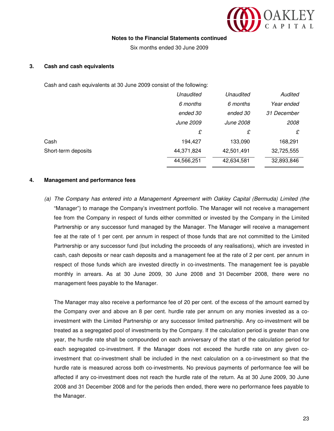

Six months ended 30 June 2009

#### **3. Cash and cash equivalents**

Cash and cash equivalents at 30 June 2009 consist of the following:

|                     | Unaudited  | Unaudited  | Audited     |
|---------------------|------------|------------|-------------|
|                     | 6 months   | 6 months   | Year ended  |
|                     | ended 30   | ended 30   | 31 December |
|                     | June 2009  | June 2008  | 2008        |
|                     | £          | £          | £           |
| Cash                | 194.427    | 133,090    | 168,291     |
| Short-term deposits | 44,371,824 | 42,501,491 | 32,725,555  |
|                     | 44,566,251 | 42,634,581 | 32,893,846  |

#### **4. Management and performance fees**

(a) The Company has entered into a Management Agreement with Oakley Capital (Bermuda) Limited (the "Manager") to manage the Company's investment portfolio. The Manager will not receive a management fee from the Company in respect of funds either committed or invested by the Company in the Limited Partnership or any successor fund managed by the Manager. The Manager will receive a management fee at the rate of 1 per cent. per annum in respect of those funds that are not committed to the Limited Partnership or any successor fund (but including the proceeds of any realisations), which are invested in cash, cash deposits or near cash deposits and a management fee at the rate of 2 per cent. per annum in respect of those funds which are invested directly in co-investments. The management fee is payable monthly in arrears. As at 30 June 2009, 30 June 2008 and 31 December 2008, there were no management fees payable to the Manager.

The Manager may also receive a performance fee of 20 per cent. of the excess of the amount earned by the Company over and above an 8 per cent. hurdle rate per annum on any monies invested as a coinvestment with the Limited Partnership or any successor limited partnership. Any co-investment will be treated as a segregated pool of investments by the Company. If the calculation period is greater than one year, the hurdle rate shall be compounded on each anniversary of the start of the calculation period for each segregated co-investment. If the Manager does not exceed the hurdle rate on any given coinvestment that co-investment shall be included in the next calculation on a co-investment so that the hurdle rate is measured across both co-investments. No previous payments of performance fee will be affected if any co-investment does not reach the hurdle rate of the return. As at 30 June 2009, 30 June 2008 and 31 December 2008 and for the periods then ended, there were no performance fees payable to the Manager.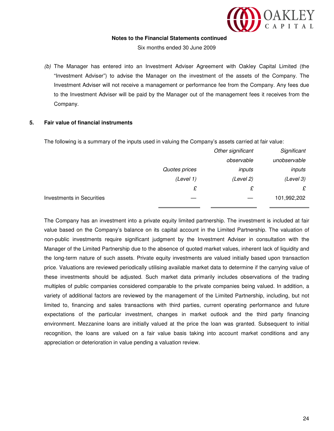

Six months ended 30 June 2009

(b) The Manager has entered into an Investment Adviser Agreement with Oakley Capital Limited (the "Investment Adviser") to advise the Manager on the investment of the assets of the Company. The Investment Adviser will not receive a management or performance fee from the Company. Any fees due to the Investment Adviser will be paid by the Manager out of the management fees it receives from the Company.

#### **5. Fair value of financial instruments**

The following is a summary of the inputs used in valuing the Company's assets carried at fair value:

| Significant  | Other significant |               |                                  |
|--------------|-------------------|---------------|----------------------------------|
| unobservable | observable        |               |                                  |
| inputs       | inputs            | Quotes prices |                                  |
| (Level 3)    | (Level 2)         | (Level 1)     |                                  |
| £            | £                 | £             |                                  |
| 101,992,202  |                   |               | <b>Investments in Securities</b> |

The Company has an investment into a private equity limited partnership. The investment is included at fair value based on the Company's balance on its capital account in the Limited Partnership. The valuation of non-public investments require significant judgment by the Investment Adviser in consultation with the Manager of the Limited Partnership due to the absence of quoted market values, inherent lack of liquidity and the long-term nature of such assets. Private equity investments are valued initially based upon transaction price. Valuations are reviewed periodically utilising available market data to determine if the carrying value of these investments should be adjusted. Such market data primarily includes observations of the trading multiples of public companies considered comparable to the private companies being valued. In addition, a variety of additional factors are reviewed by the management of the Limited Partnership, including, but not limited to, financing and sales transactions with third parties, current operating performance and future expectations of the particular investment, changes in market outlook and the third party financing environment. Mezzanine loans are initially valued at the price the loan was granted. Subsequent to initial recognition, the loans are valued on a fair value basis taking into account market conditions and any appreciation or deterioration in value pending a valuation review.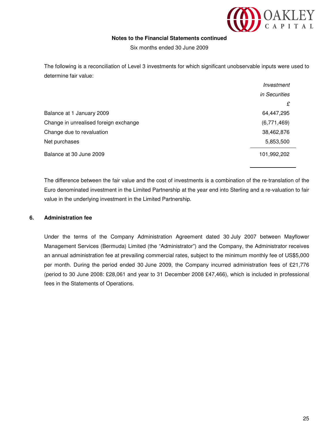

Six months ended 30 June 2009

The following is a reconciliation of Level 3 investments for which significant unobservable inputs were used to determine fair value:

|                                       | Investment           |
|---------------------------------------|----------------------|
|                                       | <i>in Securities</i> |
|                                       | £                    |
| Balance at 1 January 2009             | 64,447,295           |
| Change in unrealised foreign exchange | (6,771,469)          |
| Change due to revaluation             | 38,462,876           |
| Net purchases                         | 5,853,500            |
| Balance at 30 June 2009               | 101,992,202          |

The difference between the fair value and the cost of investments is a combination of the re-translation of the Euro denominated investment in the Limited Partnership at the year end into Sterling and a re-valuation to fair value in the underlying investment in the Limited Partnership.

#### **6. Administration fee**

Under the terms of the Company Administration Agreement dated 30 July 2007 between Mayflower Management Services (Bermuda) Limited (the "Administrator") and the Company, the Administrator receives an annual administration fee at prevailing commercial rates, subject to the minimum monthly fee of US\$5,000 per month. During the period ended 30 June 2009, the Company incurred administration fees of £21,776 (period to 30 June 2008: £28,061 and year to 31 December 2008 £47,466), which is included in professional fees in the Statements of Operations.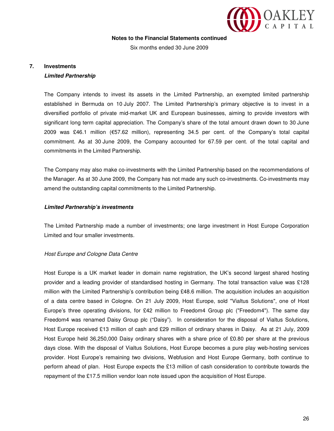

Six months ended 30 June 2009

### **7. Investments**

#### **Limited Partnership**

The Company intends to invest its assets in the Limited Partnership, an exempted limited partnership established in Bermuda on 10 July 2007. The Limited Partnership's primary objective is to invest in a diversified portfolio of private mid-market UK and European businesses, aiming to provide investors with significant long term capital appreciation. The Company's share of the total amount drawn down to 30 June 2009 was £46.1 million (€57.62 million), representing 34.5 per cent. of the Company's total capital commitment. As at 30 June 2009, the Company accounted for 67.59 per cent. of the total capital and commitments in the Limited Partnership.

The Company may also make co-investments with the Limited Partnership based on the recommendations of the Manager. As at 30 June 2009, the Company has not made any such co-investments. Co-investments may amend the outstanding capital commitments to the Limited Partnership.

#### **Limited Partnership's investments**

The Limited Partnership made a number of investments; one large investment in Host Europe Corporation Limited and four smaller investments.

#### Host Europe and Cologne Data Centre

Host Europe is a UK market leader in domain name registration, the UK's second largest shared hosting provider and a leading provider of standardised hosting in Germany. The total transaction value was £128 million with the Limited Partnership's contribution being £48.6 million. The acquisition includes an acquisition of a data centre based in Cologne. On 21 July 2009, Host Europe, sold "Vialtus Solutions", one of Host Europe's three operating divisions, for £42 million to Freedom4 Group plc ("Freedom4"). The same day Freedom4 was renamed Daisy Group plc ("Daisy"). In consideration for the disposal of Vialtus Solutions, Host Europe received £13 million of cash and £29 million of ordinary shares in Daisy. As at 21 July, 2009 Host Europe held 36,250,000 Daisy ordinary shares with a share price of £0.80 per share at the previous days close. With the disposal of Vialtus Solutions, Host Europe becomes a pure play web-hosting services provider. Host Europe's remaining two divisions, Webfusion and Host Europe Germany, both continue to perform ahead of plan. Host Europe expects the £13 million of cash consideration to contribute towards the repayment of the £17.5 million vendor loan note issued upon the acquisition of Host Europe.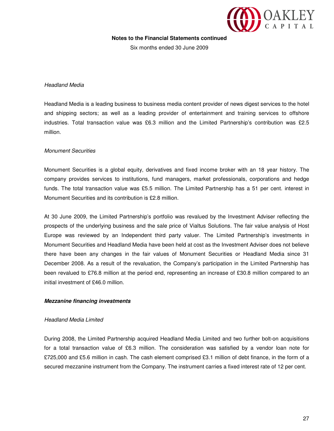

Six months ended 30 June 2009

#### Headland Media

Headland Media is a leading business to business media content provider of news digest services to the hotel and shipping sectors; as well as a leading provider of entertainment and training services to offshore industries. Total transaction value was £6.3 million and the Limited Partnership's contribution was £2.5 million.

#### Monument Securities

Monument Securities is a global equity, derivatives and fixed income broker with an 18 year history. The company provides services to institutions, fund managers, market professionals, corporations and hedge funds. The total transaction value was £5.5 million. The Limited Partnership has a 51 per cent. interest in Monument Securities and its contribution is £2.8 million.

At 30 June 2009, the Limited Partnership's portfolio was revalued by the Investment Adviser reflecting the prospects of the underlying business and the sale price of Vialtus Solutions. The fair value analysis of Host Europe was reviewed by an Independent third party valuer. The Limited Partnership's investments in Monument Securities and Headland Media have been held at cost as the Investment Adviser does not believe there have been any changes in the fair values of Monument Securities or Headland Media since 31 December 2008. As a result of the revaluation, the Company's participation in the Limited Partnership has been revalued to £76.8 million at the period end, representing an increase of £30.8 million compared to an initial investment of £46.0 million.

#### **Mezzanine financing investments**

#### Headland Media Limited

During 2008, the Limited Partnership acquired Headland Media Limited and two further bolt-on acquisitions for a total transaction value of £6.3 million. The consideration was satisfied by a vendor loan note for £725,000 and £5.6 million in cash. The cash element comprised £3.1 million of debt finance, in the form of a secured mezzanine instrument from the Company. The instrument carries a fixed interest rate of 12 per cent.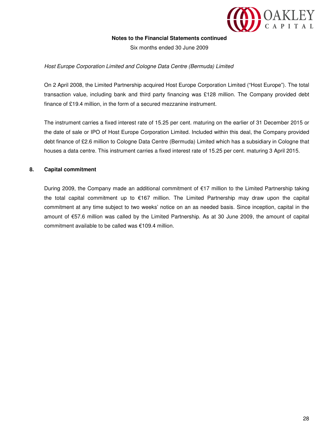

Six months ended 30 June 2009

#### Host Europe Corporation Limited and Cologne Data Centre (Bermuda) Limited

On 2 April 2008, the Limited Partnership acquired Host Europe Corporation Limited ("Host Europe"). The total transaction value, including bank and third party financing was £128 million. The Company provided debt finance of £19.4 million, in the form of a secured mezzanine instrument.

The instrument carries a fixed interest rate of 15.25 per cent. maturing on the earlier of 31 December 2015 or the date of sale or IPO of Host Europe Corporation Limited. Included within this deal, the Company provided debt finance of £2.6 million to Cologne Data Centre (Bermuda) Limited which has a subsidiary in Cologne that houses a data centre. This instrument carries a fixed interest rate of 15.25 per cent. maturing 3 April 2015.

#### **8. Capital commitment**

During 2009, the Company made an additional commitment of €17 million to the Limited Partnership taking the total capital commitment up to €167 million. The Limited Partnership may draw upon the capital commitment at any time subject to two weeks' notice on an as needed basis. Since inception, capital in the amount of €57.6 million was called by the Limited Partnership. As at 30 June 2009, the amount of capital commitment available to be called was €109.4 million.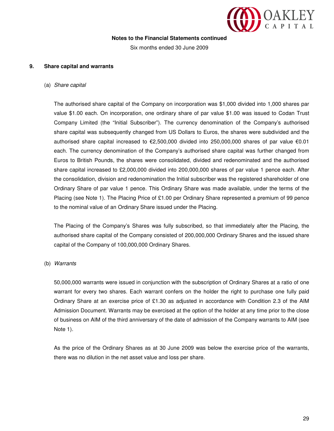

Six months ended 30 June 2009

#### **9. Share capital and warrants**

(a) Share capital

The authorised share capital of the Company on incorporation was \$1,000 divided into 1,000 shares par value \$1.00 each. On incorporation, one ordinary share of par value \$1.00 was issued to Codan Trust Company Limited (the "Initial Subscriber"). The currency denomination of the Company's authorised share capital was subsequently changed from US Dollars to Euros, the shares were subdivided and the authorised share capital increased to €2,500,000 divided into 250,000,000 shares of par value €0.01 each. The currency denomination of the Company's authorised share capital was further changed from Euros to British Pounds, the shares were consolidated, divided and redenominated and the authorised share capital increased to £2,000,000 divided into 200,000,000 shares of par value 1 pence each. After the consolidation, division and redenomination the Initial subscriber was the registered shareholder of one Ordinary Share of par value 1 pence. This Ordinary Share was made available, under the terms of the Placing (see Note 1). The Placing Price of £1.00 per Ordinary Share represented a premium of 99 pence to the nominal value of an Ordinary Share issued under the Placing.

The Placing of the Company's Shares was fully subscribed, so that immediately after the Placing, the authorised share capital of the Company consisted of 200,000,000 Ordinary Shares and the issued share capital of the Company of 100,000,000 Ordinary Shares.

#### (b) Warrants

50,000,000 warrants were issued in conjunction with the subscription of Ordinary Shares at a ratio of one warrant for every two shares. Each warrant confers on the holder the right to purchase one fully paid Ordinary Share at an exercise price of £1.30 as adjusted in accordance with Condition 2.3 of the AIM Admission Document. Warrants may be exercised at the option of the holder at any time prior to the close of business on AIM of the third anniversary of the date of admission of the Company warrants to AIM (see Note 1).

As the price of the Ordinary Shares as at 30 June 2009 was below the exercise price of the warrants, there was no dilution in the net asset value and loss per share.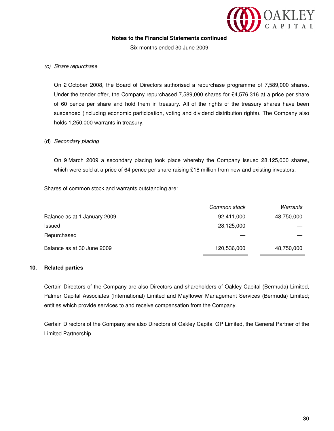

Six months ended 30 June 2009

#### (c) Share repurchase

On 2 October 2008, the Board of Directors authorised a repurchase programme of 7,589,000 shares. Under the tender offer, the Company repurchased 7,589,000 shares for £4,576,316 at a price per share of 60 pence per share and hold them in treasury. All of the rights of the treasury shares have been suspended (including economic participation, voting and dividend distribution rights). The Company also holds 1,250,000 warrants in treasury.

#### (d) Secondary placing

On 9 March 2009 a secondary placing took place whereby the Company issued 28,125,000 shares, which were sold at a price of 64 pence per share raising £18 million from new and existing investors.

Shares of common stock and warrants outstanding are:

|                              | Common stock | Warrants   |
|------------------------------|--------------|------------|
| Balance as at 1 January 2009 | 92,411,000   | 48,750,000 |
| Issued                       | 28,125,000   |            |
| Repurchased                  |              |            |
| Balance as at 30 June 2009   | 120,536,000  | 48,750,000 |

#### **10. Related parties**

Certain Directors of the Company are also Directors and shareholders of Oakley Capital (Bermuda) Limited, Palmer Capital Associates (International) Limited and Mayflower Management Services (Bermuda) Limited; entities which provide services to and receive compensation from the Company.

Certain Directors of the Company are also Directors of Oakley Capital GP Limited, the General Partner of the Limited Partnership.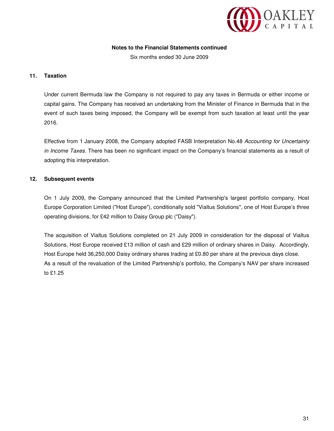

Six months ended 30 June 2009

#### **11. Taxation**

Under current Bermuda law the Company is not required to pay any taxes in Bermuda or either income or capital gains. The Company has received an undertaking from the Minister of Finance in Bermuda that in the event of such taxes being imposed, the Company will be exempt from such taxation at least until the year 2016.

Effective from 1 January 2008, the Company adopted FASB Interpretation No.48 Accounting for Uncertainty in Income Taxes. There has been no significant impact on the Company's financial statements as a result of adopting this interpretation.

#### **12. Subsequent events**

On 1 July 2009, the Company announced that the Limited Partnership's largest portfolio company, Host Europe Corporation Limited ("Host Europe"), conditionally sold "Vialtus Solutions", one of Host Europe's three operating divisions, for £42 million to Daisy Group plc ("Daisy").

The acquisition of Vialtus Solutions completed on 21 July 2009 in consideration for the disposal of Vialtus Solutions, Host Europe received £13 million of cash and £29 million of ordinary shares in Daisy. Accordingly, Host Europe held 36,250,000 Daisy ordinary shares trading at £0.80 per share at the previous days close. As a result of the revaluation of the Limited Partnership's portfolio, the Company's NAV per share increased to £1.25